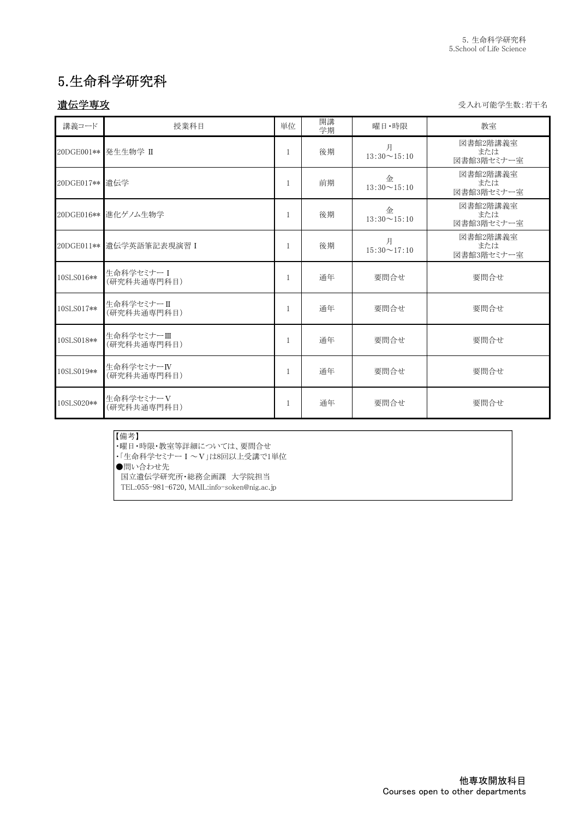# 5.生命科学研究科

遺伝学専攻 受入れ可能学生数:若干名

| 講義コード      | 授業科目                      | 単位           | 開講<br>学期 | 曜日·時限                   | 教室                            |
|------------|---------------------------|--------------|----------|-------------------------|-------------------------------|
|            | 20DGE001** 発生生物学 II       | 1            | 後期       | 月<br>$13:30 \sim 15:10$ | 図書館2階講義室<br>または<br>図書館3階セミナー室 |
|            |                           | 1            | 前期       | 金<br>$13:30 \sim 15:10$ | 図書館2階講義室<br>または<br>図書館3階セミナー室 |
|            | 20DGE016** 進化ゲノム生物学       | $\mathbf{1}$ | 後期       | 金<br>$13:30 \sim 15:10$ | 図書館2階講義室<br>または<br>図書館3階セミナー室 |
|            | 20DGE011** 遺伝学英語筆記表現演習 I  | 1            | 後期       | 月<br>$15:30 \sim 17:10$ | 図書館2階講義室<br>または<br>図書館3階セミナー室 |
| 10SLS016** | 生命科学セミナーI<br>(研究科共通専門科目)  | 1            | 通年       | 要問合せ                    | 要問合せ                          |
| 10SLS017** | 生命科学セミナーⅡ<br>(研究科共通専門科目)  | 1            | 通年       | 要問合せ                    | 要問合せ                          |
| 10SLS018** | 生命科学セミナーⅢ<br>(研究科共通専門科目)  | $\mathbf{1}$ | 通年       | 要問合せ                    | 要問合せ                          |
| 10SLS019** | 生命科学セミナーIV<br>(研究科共通専門科目) | $\mathbf{1}$ | 通年       | 要問合せ                    | 要問合せ                          |
| 10SLS020** | 生命科学セミナーV<br>(研究科共通専門科目)  | 1            | 通年       | 要問合せ                    | 要問合せ                          |

#### 【備考】

・曜日・時限・教室等詳細については、要問合せ

・「生命科学セミナーⅠ~Ⅴ」は8回以上受講で1単位

●問い合わせ先

国立遺伝学研究所・総務企画課 大学院担当

TEL:055-981-6720, MAIL:info-soken@nig.ac.jp